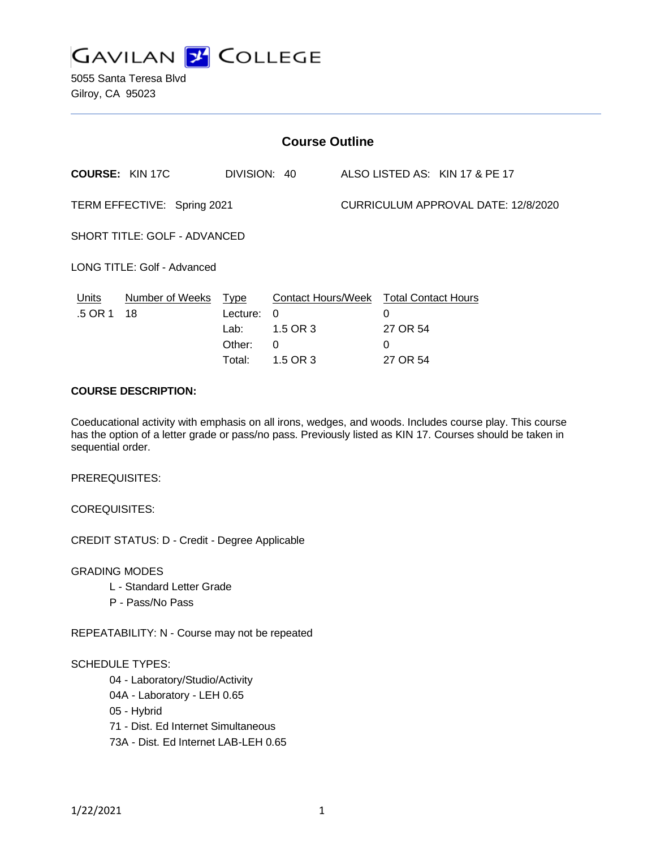

5055 Santa Teresa Blvd Gilroy, CA 95023

| <b>Course Outline</b>        |                        |                                           |                                                                                   |                                     |                    |                                |
|------------------------------|------------------------|-------------------------------------------|-----------------------------------------------------------------------------------|-------------------------------------|--------------------|--------------------------------|
|                              | <b>COURSE: KIN 17C</b> | DIVISION: 40                              |                                                                                   |                                     |                    | ALSO LISTED AS: KIN 17 & PE 17 |
| TERM EFFECTIVE: Spring 2021  |                        |                                           |                                                                                   | CURRICULUM APPROVAL DATE: 12/8/2020 |                    |                                |
| SHORT TITLE: GOLF - ADVANCED |                        |                                           |                                                                                   |                                     |                    |                                |
| LONG TITLE: Golf - Advanced  |                        |                                           |                                                                                   |                                     |                    |                                |
| Units<br>.5 OR 1             | Number of Weeks<br>18  | <u>Type</u><br>Lecture:<br>Lab:<br>Other: | <b>Contact Hours/Week Total Contact Hours</b><br>$\Omega$<br>1.5 OR 3<br>$\Omega$ |                                     | 0<br>27 OR 54<br>0 |                                |
|                              |                        | Total:                                    | 1.5 OR 3                                                                          |                                     | 27 OR 54           |                                |

#### **COURSE DESCRIPTION:**

Coeducational activity with emphasis on all irons, wedges, and woods. Includes course play. This course has the option of a letter grade or pass/no pass. Previously listed as KIN 17. Courses should be taken in sequential order.

PREREQUISITES:

COREQUISITES:

CREDIT STATUS: D - Credit - Degree Applicable

GRADING MODES

- L Standard Letter Grade
- P Pass/No Pass

REPEATABILITY: N - Course may not be repeated

## SCHEDULE TYPES:

04 - Laboratory/Studio/Activity

- 04A Laboratory LEH 0.65
- 05 Hybrid

71 - Dist. Ed Internet Simultaneous

73A - Dist. Ed Internet LAB-LEH 0.65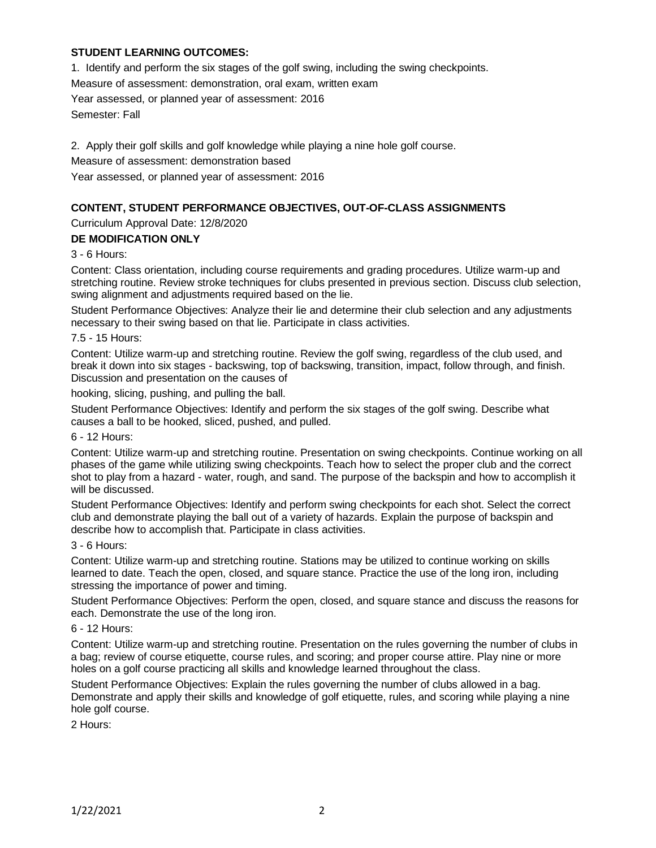# **STUDENT LEARNING OUTCOMES:**

1. Identify and perform the six stages of the golf swing, including the swing checkpoints. Measure of assessment: demonstration, oral exam, written exam Year assessed, or planned year of assessment: 2016 Semester: Fall

2. Apply their golf skills and golf knowledge while playing a nine hole golf course. Measure of assessment: demonstration based Year assessed, or planned year of assessment: 2016

# **CONTENT, STUDENT PERFORMANCE OBJECTIVES, OUT-OF-CLASS ASSIGNMENTS**

Curriculum Approval Date: 12/8/2020

#### **DE MODIFICATION ONLY**

3 - 6 Hours:

Content: Class orientation, including course requirements and grading procedures. Utilize warm-up and stretching routine. Review stroke techniques for clubs presented in previous section. Discuss club selection, swing alignment and adjustments required based on the lie.

Student Performance Objectives: Analyze their lie and determine their club selection and any adjustments necessary to their swing based on that lie. Participate in class activities.

7.5 - 15 Hours:

Content: Utilize warm-up and stretching routine. Review the golf swing, regardless of the club used, and break it down into six stages - backswing, top of backswing, transition, impact, follow through, and finish. Discussion and presentation on the causes of

hooking, slicing, pushing, and pulling the ball.

Student Performance Objectives: Identify and perform the six stages of the golf swing. Describe what causes a ball to be hooked, sliced, pushed, and pulled.

6 - 12 Hours:

Content: Utilize warm-up and stretching routine. Presentation on swing checkpoints. Continue working on all phases of the game while utilizing swing checkpoints. Teach how to select the proper club and the correct shot to play from a hazard - water, rough, and sand. The purpose of the backspin and how to accomplish it will be discussed.

Student Performance Objectives: Identify and perform swing checkpoints for each shot. Select the correct club and demonstrate playing the ball out of a variety of hazards. Explain the purpose of backspin and describe how to accomplish that. Participate in class activities.

#### 3 - 6 Hours:

Content: Utilize warm-up and stretching routine. Stations may be utilized to continue working on skills learned to date. Teach the open, closed, and square stance. Practice the use of the long iron, including stressing the importance of power and timing.

Student Performance Objectives: Perform the open, closed, and square stance and discuss the reasons for each. Demonstrate the use of the long iron.

#### 6 - 12 Hours:

Content: Utilize warm-up and stretching routine. Presentation on the rules governing the number of clubs in a bag; review of course etiquette, course rules, and scoring; and proper course attire. Play nine or more holes on a golf course practicing all skills and knowledge learned throughout the class.

Student Performance Objectives: Explain the rules governing the number of clubs allowed in a bag. Demonstrate and apply their skills and knowledge of golf etiquette, rules, and scoring while playing a nine hole golf course.

2 Hours: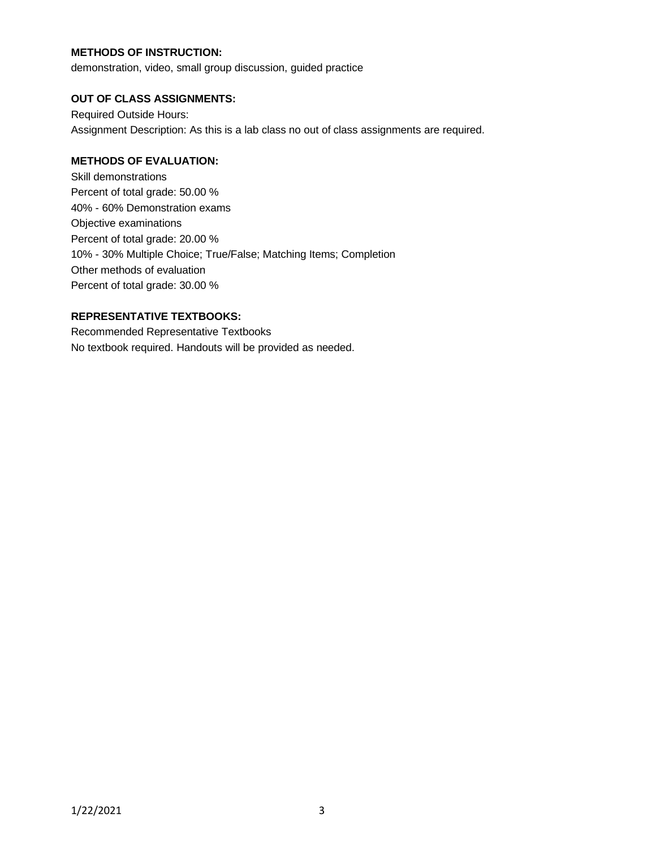# **METHODS OF INSTRUCTION:**

demonstration, video, small group discussion, guided practice

## **OUT OF CLASS ASSIGNMENTS:**

Required Outside Hours: Assignment Description: As this is a lab class no out of class assignments are required.

# **METHODS OF EVALUATION:**

Skill demonstrations Percent of total grade: 50.00 % 40% - 60% Demonstration exams Objective examinations Percent of total grade: 20.00 % 10% - 30% Multiple Choice; True/False; Matching Items; Completion Other methods of evaluation Percent of total grade: 30.00 %

# **REPRESENTATIVE TEXTBOOKS:**

Recommended Representative Textbooks No textbook required. Handouts will be provided as needed.